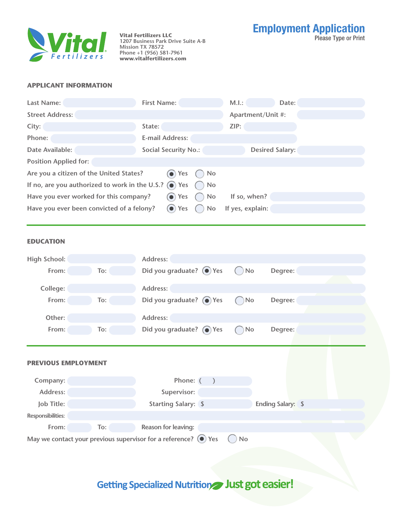

Please Type or Print **Vital Fertilizers LLC Vital Fertilizers LLC**<br>1207 Business Park Drive Suite A-B **Mission TX 78572 Phone +1 (956) 581-7961 www.vitalfertilizers.com**

Employment Application

### **APPLICANT INFORMATION**

| <b>Last Name:</b>                                                                | <b>First Name:</b>                 | M.I.:<br>Date:         |  |  |  |
|----------------------------------------------------------------------------------|------------------------------------|------------------------|--|--|--|
| <b>Street Address:</b>                                                           |                                    | Apartment/Unit #:      |  |  |  |
| City:                                                                            | State:                             | ZIP:                   |  |  |  |
| Phone:                                                                           | <b>E-mail Address:</b>             |                        |  |  |  |
| Date Available:                                                                  | <b>Social Security No.:</b>        | <b>Desired Salary:</b> |  |  |  |
| <b>Position Applied for:</b>                                                     |                                    |                        |  |  |  |
| Are you a citizen of the United States?<br>$\bigcirc$ Yes $\bigcirc$ No          |                                    |                        |  |  |  |
| If no, are you authorized to work in the U.S.? $\odot$ Yes $\bigcirc$ No         |                                    |                        |  |  |  |
| $\odot$ Yes<br>Have you ever worked for this company?<br>$()$ No<br>If so, when? |                                    |                        |  |  |  |
| Have you ever been convicted of a felony?                                        | $\left( \bullet \right)$ Yes<br>No | If yes, explain:       |  |  |  |
|                                                                                  |                                    |                        |  |  |  |

### **EDUCATION**

| <b>High School:</b>        |     | <b>Address:</b>                  |              |                          |  |
|----------------------------|-----|----------------------------------|--------------|--------------------------|--|
| From:                      | To: | Did you graduate? $\bigcirc$ Yes | $\bigcap$ No | Degree:                  |  |
| College:                   |     | Address:                         |              |                          |  |
|                            |     |                                  |              |                          |  |
| From:                      | To: | Did you graduate? $\bigcirc$ Yes | No           | Degree:                  |  |
| Other:                     |     | Address:                         |              |                          |  |
| From:                      | To: | Did you graduate? $\bigcirc$ Yes | No           | Degree:                  |  |
|                            |     |                                  |              |                          |  |
| <b>PREVIOUS EMPLOYMENT</b> |     |                                  |              |                          |  |
|                            |     |                                  |              |                          |  |
| Company:                   |     | Phone: (                         |              |                          |  |
| Address:                   |     | Supervisor:                      |              |                          |  |
| Job Title:                 |     | <b>Starting Salary: \$</b>       |              | <b>Ending Salary: \$</b> |  |
| Responsibilities:          |     |                                  |              |                          |  |
| From:                      | To: | <b>Reason for leaving:</b>       |              |                          |  |

## Getting Specialized Nutrition Just got easier!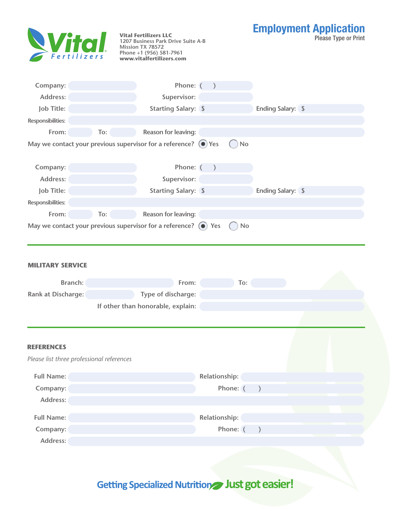| Wital.                                                         |     | <b>Vital Fertilizers LLC</b><br>1207 Business Park Drive Suite A-B<br>Mission TX 78572<br>Phone +1 (956) 581-7961<br>www.vitalfertilizers.com |               |     |                          | <b>Employment Application</b><br><b>Please Type or Print</b> |
|----------------------------------------------------------------|-----|-----------------------------------------------------------------------------------------------------------------------------------------------|---------------|-----|--------------------------|--------------------------------------------------------------|
| Company:                                                       |     | Phone: (                                                                                                                                      |               |     |                          |                                                              |
| Address:                                                       |     | Supervisor:                                                                                                                                   |               |     |                          |                                                              |
| Job Title:                                                     |     | <b>Starting Salary: \$</b>                                                                                                                    |               |     | <b>Ending Salary:</b> \$ |                                                              |
| <b>Responsibilities:</b>                                       |     |                                                                                                                                               |               |     |                          |                                                              |
| From:                                                          | To: | <b>Reason for leaving:</b>                                                                                                                    |               |     |                          |                                                              |
|                                                                |     | May we contact your previous supervisor for a reference? $\left( \bullet \right)$ Yes                                                         |               | No  |                          |                                                              |
| Company:                                                       |     | Phone: (                                                                                                                                      |               |     |                          |                                                              |
| Address:                                                       |     | Supervisor:                                                                                                                                   |               |     |                          |                                                              |
| Job Title:                                                     |     | <b>Starting Salary: \$</b>                                                                                                                    |               |     | <b>Ending Salary: \$</b> |                                                              |
| Responsibilities:                                              |     |                                                                                                                                               |               |     |                          |                                                              |
| From:                                                          | To: | <b>Reason for leaving:</b>                                                                                                                    |               |     |                          |                                                              |
| MILITARY SERVICE                                               |     |                                                                                                                                               |               |     |                          |                                                              |
| <b>Branch:</b>                                                 |     | From:                                                                                                                                         |               | To: |                          |                                                              |
| <b>Rank at Discharge:</b>                                      |     | Type of discharge:                                                                                                                            |               |     |                          |                                                              |
|                                                                |     | If other than honorable, explain:                                                                                                             |               |     |                          |                                                              |
|                                                                |     |                                                                                                                                               |               |     |                          |                                                              |
| <b>REFERENCES</b><br>Please list three professional references |     |                                                                                                                                               |               |     |                          |                                                              |
| <b>Full Name:</b>                                              |     |                                                                                                                                               | Relationship: |     |                          |                                                              |
| Company:                                                       |     |                                                                                                                                               | Phone: (      |     | $\mathcal{L}$            |                                                              |
| Address:                                                       |     |                                                                                                                                               |               |     |                          |                                                              |
| <b>Full Name:</b>                                              |     |                                                                                                                                               | Relationship: |     |                          |                                                              |
| Company:                                                       |     |                                                                                                                                               | Phone: (      |     |                          |                                                              |
| Address:                                                       |     |                                                                                                                                               |               |     |                          |                                                              |

# Getting Specialized Nutrition Just got easier!